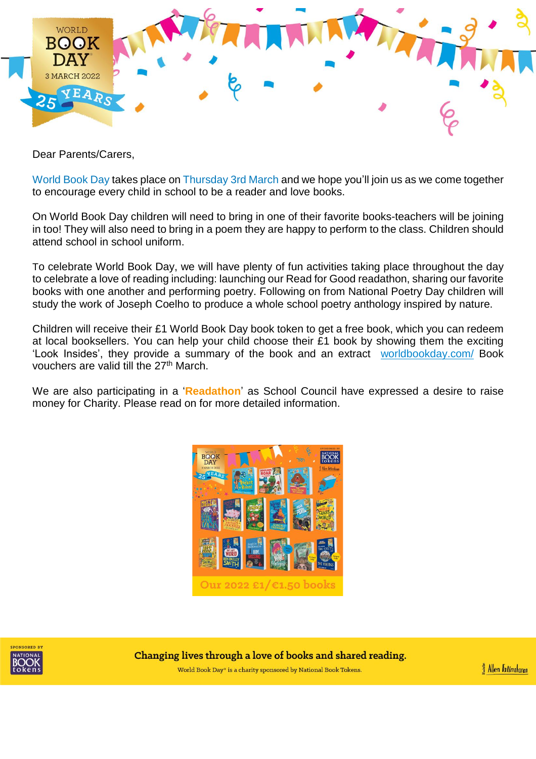

Dear Parents/Carers,

World Book Day takes place on Thursday 3rd March and we hope you'll join us as we come together to encourage every child in school to be a reader and love books.

On World Book Day children will need to bring in one of their favorite books-teachers will be joining in too! They will also need to bring in a poem they are happy to perform to the class. Children should attend school in school uniform.

To celebrate World Book Day, we will have plenty of fun activities taking place throughout the day to celebrate a love of reading including: launching our Read for Good readathon, sharing our favorite books with one another and performing poetry. Following on from National Poetry Day children will study the work of Joseph Coelho to produce a whole school poetry anthology inspired by nature.

Children will receive their £1 World Book Day book token to get a free book, which you can redeem at local booksellers. You can help your child choose their £1 book by showing them the exciting 'Look Insides', they provide a summary of the book and an extract [worldbookday.com/](https://www.worldbookday.com/books/) Book vouchers are valid till the 27<sup>th</sup> March.

We are also participating in a '**Readathon**' as School Council have expressed a desire to raise money for Charity. Please read on for more detailed information.





Changing lives through a love of books and shared reading.

World Book Day® is a charity sponsored by National Book Tokens.